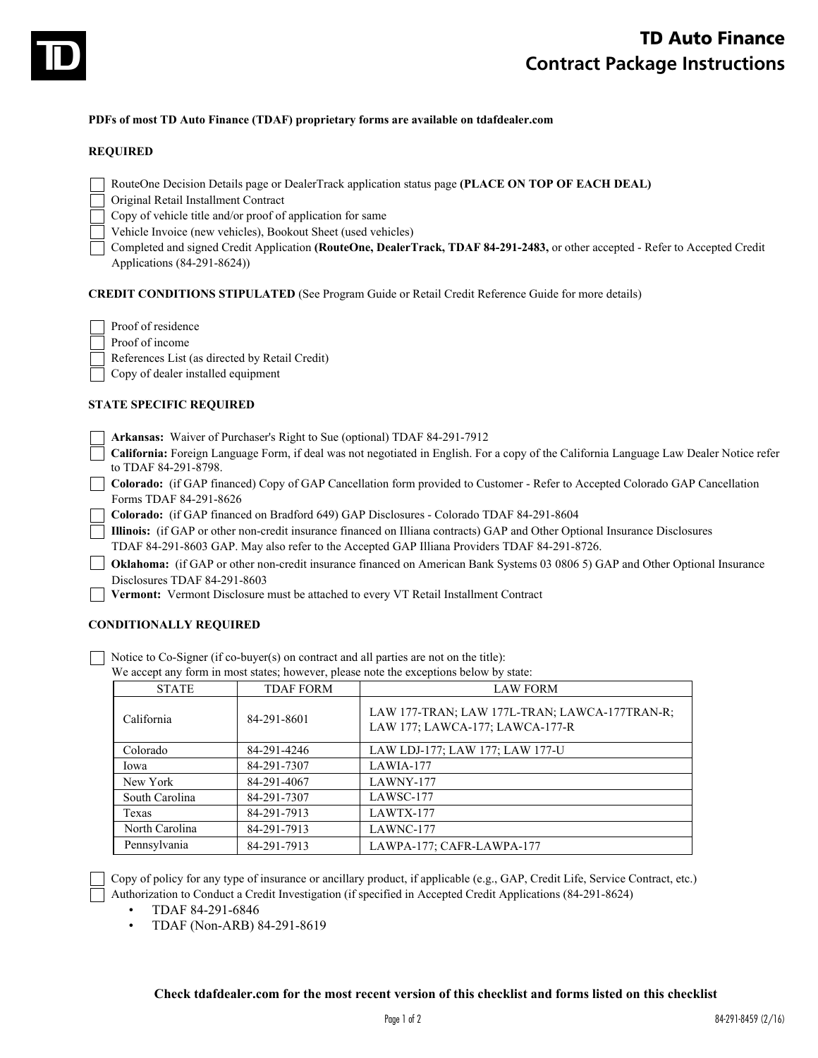

#### **PDFs of most TD Auto Finance (TDAF) proprietary forms are available on tdafdealer.com**

#### **REQUIRED**

- RouteOne Decision Details page or DealerTrack application status page **(PLACE ON TOP OF EACH DEAL)**
- Original Retail Installment Contract
- Copy of vehicle title and/or proof of application for same
- Vehicle Invoice (new vehicles), Bookout Sheet (used vehicles)
- Completed and signed Credit Application **(RouteOne, DealerTrack, TDAF 84-291-2483,** or other accepted Refer to Accepted Credit Applications (84-291-8624))

**CREDIT CONDITIONS STIPULATED** (See Program Guide or Retail Credit Reference Guide for more details)

- Proof of residence
- Proof of income

References List (as directed by Retail Credit)

Copy of dealer installed equipment

### **STATE SPECIFIC REQUIRED**

- **Arkansas:** Waiver of Purchaser's Right to Sue (optional) TDAF 84-291-7912
- **California:** Foreign Language Form, if deal was not negotiated in English. For a copy of the California Language Law Dealer Notice refer to TDAF 84-291-8798.
- **Colorado:** (if GAP financed) Copy of GAP Cancellation form provided to Customer Refer to Accepted Colorado GAP Cancellation Forms TDAF 84-291-8626
	- **Colorado:** (if GAP financed on Bradford 649) GAP Disclosures Colorado TDAF 84-291-8604
		- **Illinois:** (if GAP or other non-credit insurance financed on Illiana contracts) GAP and Other Optional Insurance Disclosures
	- TDAF 84-291-8603 GAP. May also refer to the Accepted GAP Illiana Providers TDAF 84-291-8726.
- **Oklahoma:** (if GAP or other non-credit insurance financed on American Bank Systems 03 0806 5) GAP and Other Optional Insurance Disclosures TDAF 84-291-8603
	- **Vermont:** Vermont Disclosure must be attached to every VT Retail Installment Contract

### **CONDITIONALLY REQUIRED**

Notice to Co-Signer (if co-buyer(s) on contract and all parties are not on the title):

We accept any form in most states; however, please note the exceptions below by state:

| <b>STATE</b>   | <b>TDAF FORM</b> | <b>LAW FORM</b>                                                                  |
|----------------|------------------|----------------------------------------------------------------------------------|
| California     | 84-291-8601      | LAW 177-TRAN; LAW 177L-TRAN; LAWCA-177TRAN-R;<br>LAW 177; LAWCA-177; LAWCA-177-R |
| Colorado       | 84-291-4246      | LAW LDJ-177; LAW 177; LAW 177-U                                                  |
| Iowa           | 84-291-7307      | LAWIA-177                                                                        |
| New York       | 84-291-4067      | LAWNY-177                                                                        |
| South Carolina | 84-291-7307      | LAWSC-177                                                                        |
| Texas          | 84-291-7913      | LAWTX-177                                                                        |
| North Carolina | 84-291-7913      | LAWNC-177                                                                        |
| Pennsylvania   | 84-291-7913      | LAWPA-177; CAFR-LAWPA-177                                                        |

Copy of policy for any type of insurance or ancillary product, if applicable (e.g., GAP, Credit Life, Service Contract, etc.) Authorization to Conduct a Credit Investigation (if specified in Accepted Credit Applications (84-291-8624)

- TDAF 84-291-6846
- TDAF (Non-ARB) 84-291-8619

#### **Check tdafdealer.com for the most recent version of this checklist and forms listed on this checklist**